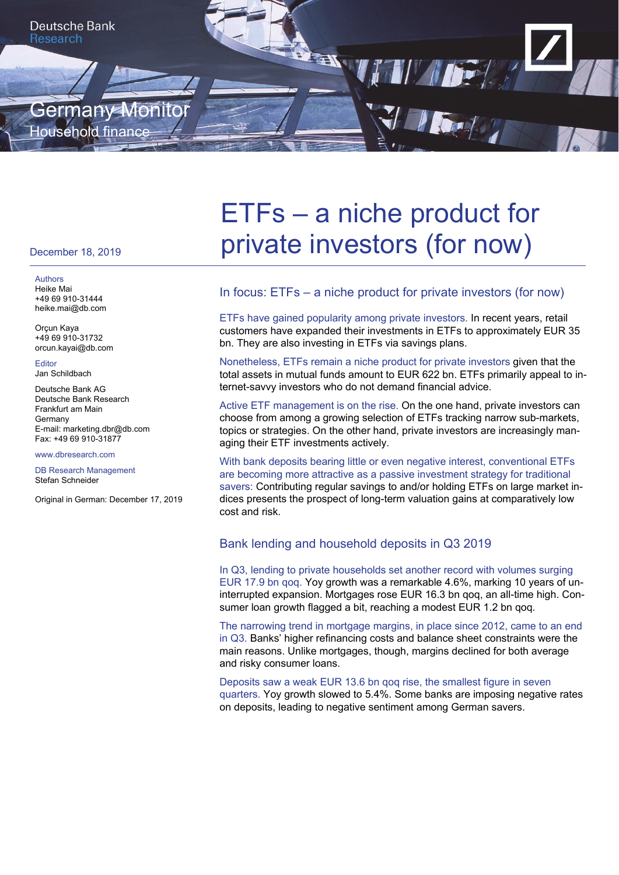

#### December 18, 2019

Authors Heike Mai +49 69 910-31444 heike.mai@db.com

Orçun Kaya +49 69 910-31732 orcun.kayai@db.com

**Editor** Jan Schildbach

Deutsche Bank AG Deutsche Bank Research Frankfurt am Main Germany E-mail: marketing.dbr@db.com Fax: +49 69 910-31877

#### www.dbresearch.com

DB Research Management Stefan Schneider

Original in German: December 17, 2019

# ETFs – a niche product for private investors (for now)

## In focus: ETFs – a niche product for private investors (for now)

ETFs have gained popularity among private investors. In recent years, retail customers have expanded their investments in ETFs to approximately EUR 35 bn. They are also investing in ETFs via savings plans.

Nonetheless, ETFs remain a niche product for private investors given that the total assets in mutual funds amount to EUR 622 bn. ETFs primarily appeal to internet-savvy investors who do not demand financial advice.

Active ETF management is on the rise. On the one hand, private investors can choose from among a growing selection of ETFs tracking narrow sub-markets, topics or strategies. On the other hand, private investors are increasingly managing their ETF investments actively.

With bank deposits bearing little or even negative interest, conventional ETFs are becoming more attractive as a passive investment strategy for traditional savers: Contributing regular savings to and/or holding ETFs on large market indices presents the prospect of long-term valuation gains at comparatively low cost and risk.

## Bank lending and household deposits in Q3 2019

In Q3, lending to private households set another record with volumes surging EUR 17.9 bn qoq. Yoy growth was a remarkable 4.6%, marking 10 years of uninterrupted expansion. Mortgages rose EUR 16.3 bn qoq, an all-time high. Consumer loan growth flagged a bit, reaching a modest EUR 1.2 bn qoq.

The narrowing trend in mortgage margins, in place since 2012, came to an end in Q3. Banks' higher refinancing costs and balance sheet constraints were the main reasons. Unlike mortgages, though, margins declined for both average and risky consumer loans.

Deposits saw a weak EUR 13.6 bn qoq rise, the smallest figure in seven quarters. Yoy growth slowed to 5.4%. Some banks are imposing negative rates on deposits, leading to negative sentiment among German savers.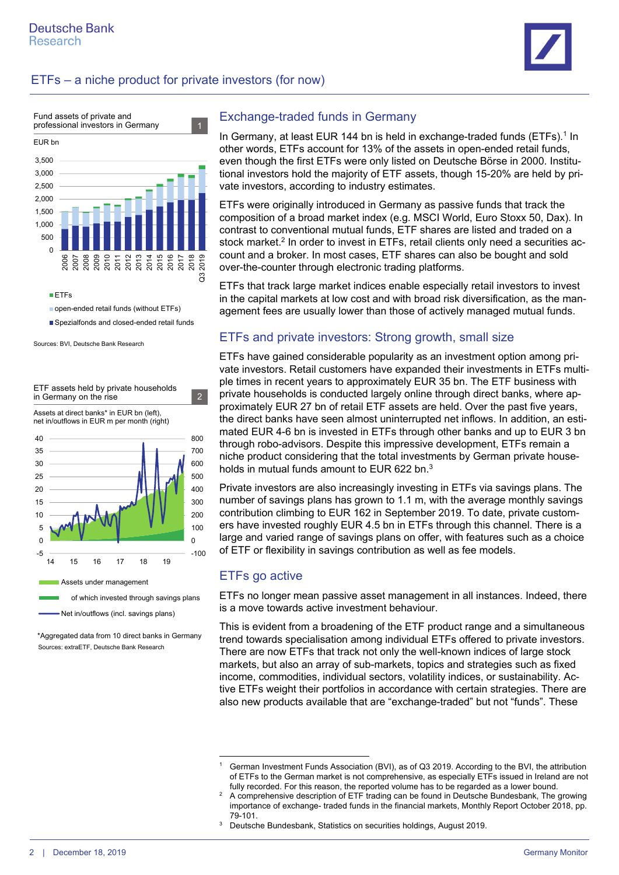





open-ended retail funds (without ETFs)

Spezialfonds and closed-ended retail funds

Sources: BVI, Deutsche Bank Research

ETF assets held by private households in Germany on the rise  $\sqrt{2}$ 



Sources: extraETF, Deutsche Bank Research \*Aggregated data from 10 direct banks in Germany

## Exchange-traded funds in Germany

In Germany, at least EUR 144 bn is held in exchange-traded funds (ETFs).<sup>1</sup> In other words, ETFs account for 13% of the assets in open-ended retail funds, even though the first ETFs were only listed on Deutsche Börse in 2000. Institutional investors hold the majority of ETF assets, though 15-20% are held by private investors, according to industry estimates.

ETFs were originally introduced in Germany as passive funds that track the composition of a broad market index (e.g. MSCI World, Euro Stoxx 50, Dax). In contrast to conventional mutual funds, ETF shares are listed and traded on a stock market.<sup>2</sup> In order to invest in ETFs, retail clients only need a securities account and a broker. In most cases, ETF shares can also be bought and sold over-the-counter through electronic trading platforms.

ETFs that track large market indices enable especially retail investors to invest in the capital markets at low cost and with broad risk diversification, as the management fees are usually lower than those of actively managed mutual funds.

# ETFs and private investors: Strong growth, small size

ETFs have gained considerable popularity as an investment option among private investors. Retail customers have expanded their investments in ETFs multiple times in recent years to approximately EUR 35 bn. The ETF business with private households is conducted largely online through direct banks, where approximately EUR 27 bn of retail ETF assets are held. Over the past five years, the direct banks have seen almost uninterrupted net inflows. In addition, an estimated EUR 4-6 bn is invested in ETFs through other banks and up to EUR 3 bn through robo-advisors. Despite this impressive development, ETFs remain a niche product considering that the total investments by German private households in mutual funds amount to EUR 622 bn.<sup>3</sup>

Private investors are also increasingly investing in ETFs via savings plans. The number of savings plans has grown to 1.1 m, with the average monthly savings contribution climbing to EUR 162 in September 2019. To date, private customers have invested roughly EUR 4.5 bn in ETFs through this channel. There is a large and varied range of savings plans on offer, with features such as a choice of ETF or flexibility in savings contribution as well as fee models.

# ETFs go active

ETFs no longer mean passive asset management in all instances. Indeed, there is a move towards active investment behaviour.

This is evident from a broadening of the ETF product range and a simultaneous trend towards specialisation among individual ETFs offered to private investors. There are now ETFs that track not only the well-known indices of large stock markets, but also an array of sub-markets, topics and strategies such as fixed income, commodities, individual sectors, volatility indices, or sustainability. Active ETFs weight their portfolios in accordance with certain strategies. There are also new products available that are "exchange-traded" but not "funds". These

 $\overline{a}$ 1 German Investment Funds Association (BVI), as of Q3 2019. According to the BVI, the attribution of ETFs to the German market is not comprehensive, as especially ETFs issued in Ireland are not fully recorded. For this reason, the reported volume has to be regarded as a lower bound.<br><sup>2</sup> A comprehensive description of  $ETE$  trading can be found in Doutsche Bundesbank. The

A comprehensive description of ETF trading can be found in Deutsche Bundesbank, The growing importance of exchange- traded funds in the financial markets, Monthly Report October 2018, pp.  $79-101$ .

Deutsche Bundesbank, Statistics on securities holdings, August 2019.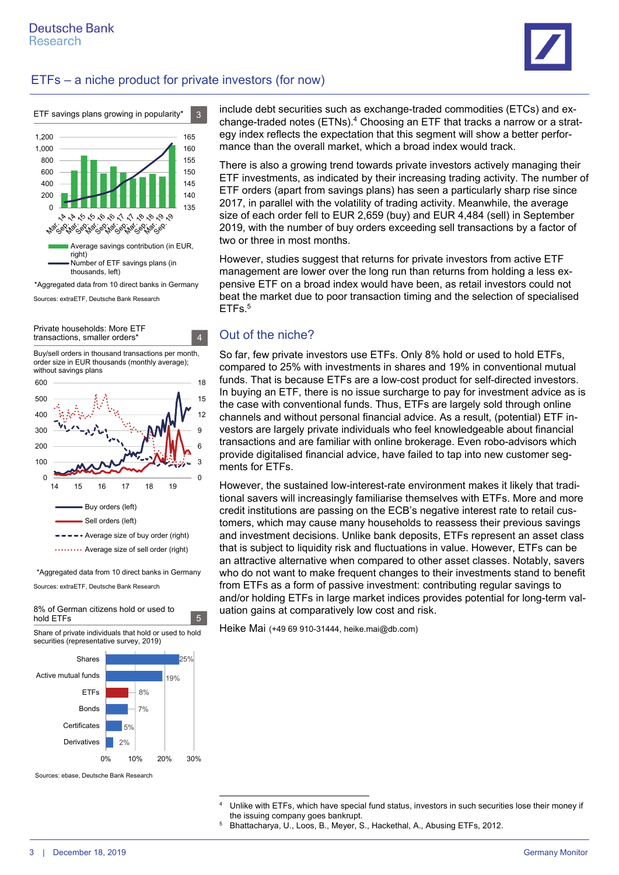



Sources: extraETF, Deutsche Bank Research

Private households: More ETF transactions, smaller orders\* 4

Buy/sell orders in thousand transactions per month, order size in EUR thousands (monthly average); without savings plans



\*Aggregated data from 10 direct banks in Germany

Sources: extraETF, Deutsche Bank Research

8% of German citizens hold or used to hold ETFs 5

Share of private individuals that hold or used to hold securities (representative survey, 2019)



Sources: ebase, Deutsche Bank Research

include debt securities such as exchange-traded commodities (ETCs) and exchange-traded notes (ETNs).4 Choosing an ETF that tracks a narrow or a strategy index reflects the expectation that this segment will show a better performance than the overall market, which a broad index would track.

There is also a growing trend towards private investors actively managing their ETF investments, as indicated by their increasing trading activity. The number of ETF orders (apart from savings plans) has seen a particularly sharp rise since 2017, in parallel with the volatility of trading activity. Meanwhile, the average size of each order fell to EUR 2,659 (buy) and EUR 4,484 (sell) in September 2019, with the number of buy orders exceeding sell transactions by a factor of two or three in most months.

However, studies suggest that returns for private investors from active ETF management are lower over the long run than returns from holding a less expensive ETF on a broad index would have been, as retail investors could not beat the market due to poor transaction timing and the selection of specialised ETF<sub>s.<sup>5</sup></sub>

# Out of the niche?

So far, few private investors use ETFs. Only 8% hold or used to hold ETFs, compared to 25% with investments in shares and 19% in conventional mutual funds. That is because ETFs are a low-cost product for self-directed investors. In buying an ETF, there is no issue surcharge to pay for investment advice as is the case with conventional funds. Thus, ETFs are largely sold through online channels and without personal financial advice. As a result, (potential) ETF investors are largely private individuals who feel knowledgeable about financial transactions and are familiar with online brokerage. Even robo-advisors which provide digitalised financial advice, have failed to tap into new customer segments for ETFs.

However, the sustained low-interest-rate environment makes it likely that traditional savers will increasingly familiarise themselves with ETFs. More and more credit institutions are passing on the ECB's negative interest rate to retail customers, which may cause many households to reassess their previous savings and investment decisions. Unlike bank deposits, ETFs represent an asset class that is subject to liquidity risk and fluctuations in value. However, ETFs can be an attractive alternative when compared to other asset classes. Notably, savers who do not want to make frequent changes to their investments stand to benefit from ETFs as a form of passive investment: contributing regular savings to and/or holding ETFs in large market indices provides potential for long-term valuation gains at comparatively low cost and risk.

Heike Mai (+49 69 910-31444, heike.mai@db.com)

Bhattacharya, U., Loos, B., Meyer, S., Hackethal, A., Abusing ETFs, 2012.

<sup>1</sup> 4 Unlike with ETFs, which have special fund status, investors in such securities lose their money if the issuing company goes bankrupt.<br>
<sup>5</sup> Bhattacharya II Loos B. Meyer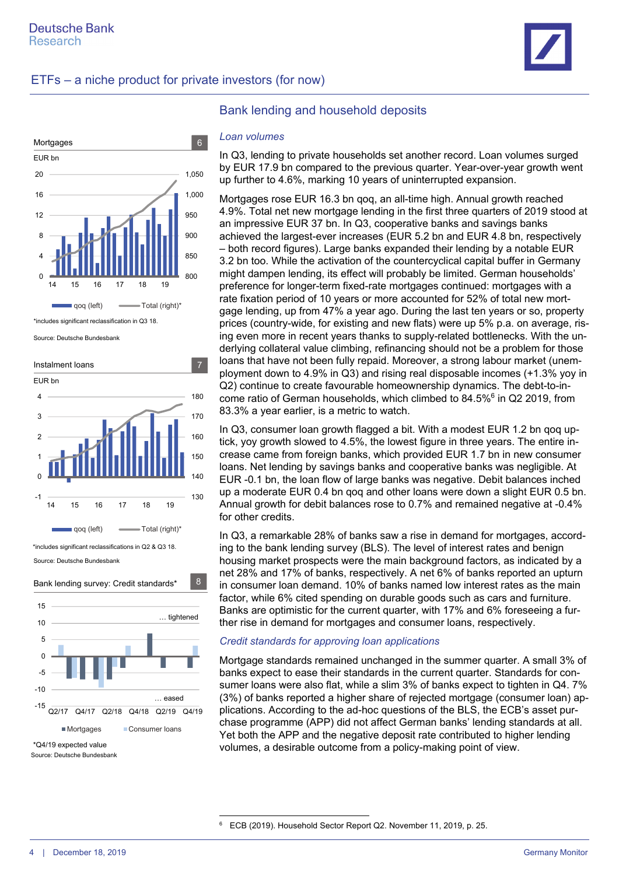



\*includes significant reclassification in Q3 18.

Source: Deutsche Bundesbank





 $\overline{a}$ 

## Bank lending and household deposits

#### *Loan volumes*

In Q3, lending to private households set another record. Loan volumes surged by EUR 17.9 bn compared to the previous quarter. Year-over-year growth went up further to 4.6%, marking 10 years of uninterrupted expansion.

Mortgages rose EUR 16.3 bn qoq, an all-time high. Annual growth reached 4.9%. Total net new mortgage lending in the first three quarters of 2019 stood at an impressive EUR 37 bn. In Q3, cooperative banks and savings banks achieved the largest-ever increases (EUR 5.2 bn and EUR 4.8 bn, respectively – both record figures). Large banks expanded their lending by a notable EUR 3.2 bn too. While the activation of the countercyclical capital buffer in Germany might dampen lending, its effect will probably be limited. German households' preference for longer-term fixed-rate mortgages continued: mortgages with a rate fixation period of 10 years or more accounted for 52% of total new mortgage lending, up from 47% a year ago. During the last ten years or so, property prices (country-wide, for existing and new flats) were up 5% p.a. on average, rising even more in recent years thanks to supply-related bottlenecks. With the underlying collateral value climbing, refinancing should not be a problem for those loans that have not been fully repaid. Moreover, a strong labour market (unemployment down to 4.9% in Q3) and rising real disposable incomes (+1.3% yoy in Q2) continue to create favourable homeownership dynamics. The debt-to-income ratio of German households, which climbed to 84.5%6 in Q2 2019, from 83.3% a year earlier, is a metric to watch.

In Q3, consumer loan growth flagged a bit. With a modest EUR 1.2 bn qoq uptick, yoy growth slowed to 4.5%, the lowest figure in three years. The entire increase came from foreign banks, which provided EUR 1.7 bn in new consumer loans. Net lending by savings banks and cooperative banks was negligible. At EUR -0.1 bn, the loan flow of large banks was negative. Debit balances inched up a moderate EUR 0.4 bn qoq and other loans were down a slight EUR 0.5 bn. Annual growth for debit balances rose to 0.7% and remained negative at -0.4% for other credits.

In Q3, a remarkable 28% of banks saw a rise in demand for mortgages, according to the bank lending survey (BLS). The level of interest rates and benign housing market prospects were the main background factors, as indicated by a net 28% and 17% of banks, respectively. A net 6% of banks reported an upturn in consumer loan demand. 10% of banks named low interest rates as the main factor, while 6% cited spending on durable goods such as cars and furniture. Banks are optimistic for the current quarter, with 17% and 6% foreseeing a further rise in demand for mortgages and consumer loans, respectively.

#### *Credit standards for approving loan applications*

Mortgage standards remained unchanged in the summer quarter. A small 3% of banks expect to ease their standards in the current quarter. Standards for consumer loans were also flat, while a slim 3% of banks expect to tighten in Q4. 7% (3%) of banks reported a higher share of rejected mortgage (consumer loan) applications. According to the ad-hoc questions of the BLS, the ECB's asset purchase programme (APP) did not affect German banks' lending standards at all. Yet both the APP and the negative deposit rate contributed to higher lending volumes, a desirable outcome from a policy-making point of view.

<sup>6</sup> ECB (2019). Household Sector Report Q2. November 11, 2019, p. 25.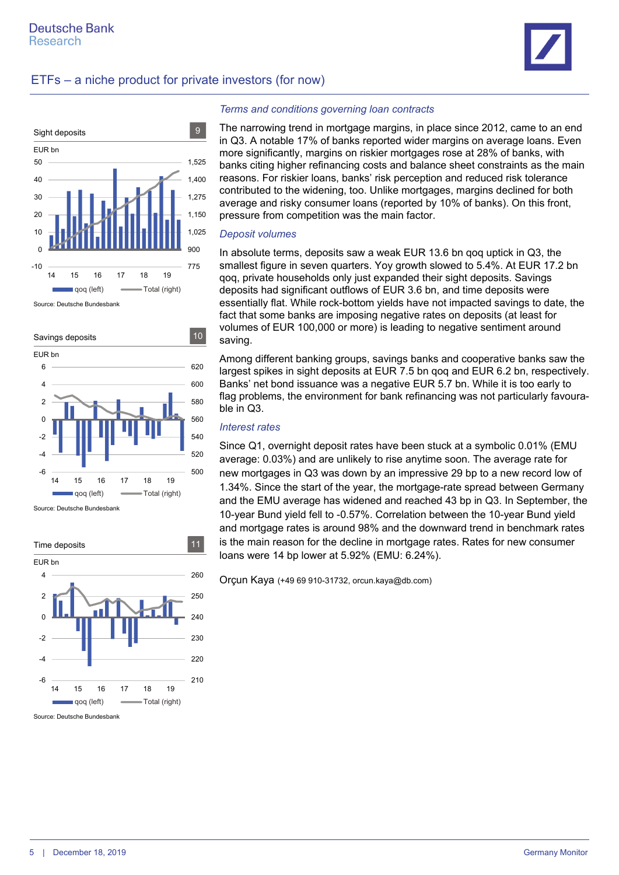



Source: Deutsche Bundesbank





Source: Deutsche Bundesbank

#### *Terms and conditions governing loan contracts*

The narrowing trend in mortgage margins, in place since 2012, came to an end in Q3. A notable 17% of banks reported wider margins on average loans. Even more significantly, margins on riskier mortgages rose at 28% of banks, with banks citing higher refinancing costs and balance sheet constraints as the main reasons. For riskier loans, banks' risk perception and reduced risk tolerance contributed to the widening, too. Unlike mortgages, margins declined for both average and risky consumer loans (reported by 10% of banks). On this front, pressure from competition was the main factor.

#### *Deposit volumes*

In absolute terms, deposits saw a weak EUR 13.6 bn qoq uptick in Q3, the smallest figure in seven quarters. Yoy growth slowed to 5.4%. At EUR 17.2 bn qoq, private households only just expanded their sight deposits. Savings deposits had significant outflows of EUR 3.6 bn, and time deposits were essentially flat. While rock-bottom yields have not impacted savings to date, the fact that some banks are imposing negative rates on deposits (at least for volumes of EUR 100,000 or more) is leading to negative sentiment around saving.

Among different banking groups, savings banks and cooperative banks saw the largest spikes in sight deposits at EUR 7.5 bn qoq and EUR 6.2 bn, respectively. Banks' net bond issuance was a negative EUR 5.7 bn. While it is too early to flag problems, the environment for bank refinancing was not particularly favourable in Q3.

### *Interest rates*

Since Q1, overnight deposit rates have been stuck at a symbolic 0.01% (EMU average: 0.03%) and are unlikely to rise anytime soon. The average rate for new mortgages in Q3 was down by an impressive 29 bp to a new record low of 1.34%. Since the start of the year, the mortgage-rate spread between Germany and the EMU average has widened and reached 43 bp in Q3. In September, the 10-year Bund yield fell to -0.57%. Correlation between the 10-year Bund yield and mortgage rates is around 98% and the downward trend in benchmark rates is the main reason for the decline in mortgage rates. Rates for new consumer loans were 14 bp lower at 5.92% (EMU: 6.24%).

Orçun Kaya (+49 69 910-31732, orcun.kaya@db.com)